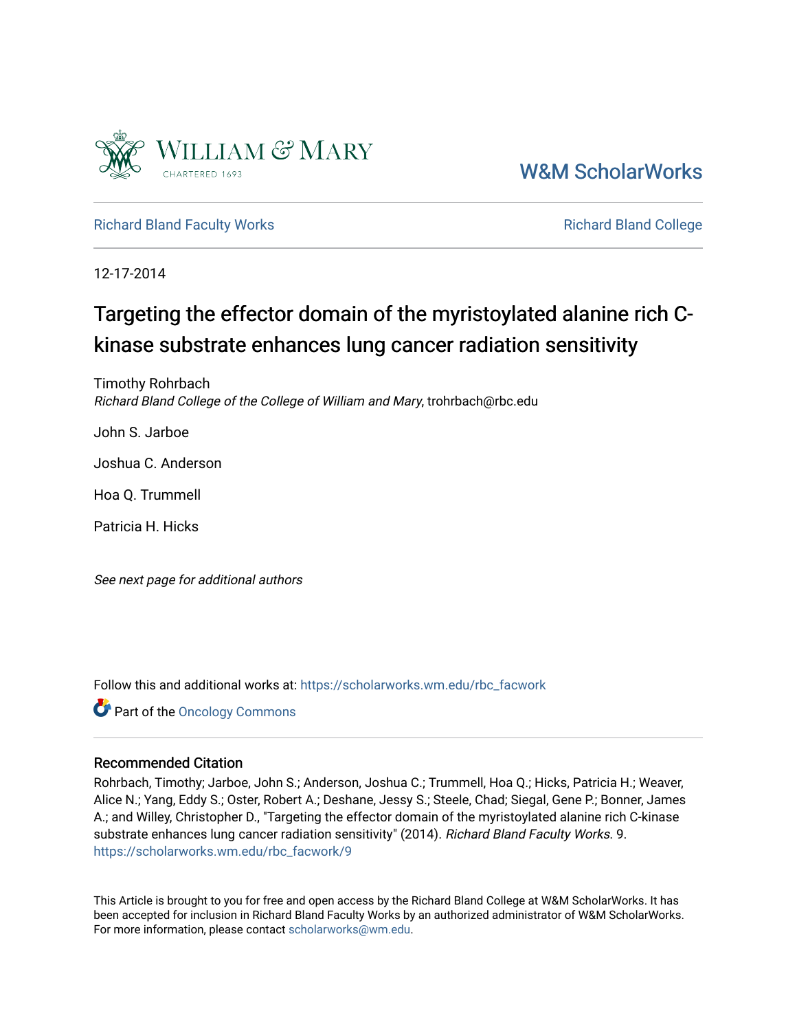

[W&M ScholarWorks](https://scholarworks.wm.edu/) 

[Richard Bland Faculty Works](https://scholarworks.wm.edu/rbc_facwork) **Richard Bland College** Richard Bland College

12-17-2014

# Targeting the effector domain of the myristoylated alanine rich Ckinase substrate enhances lung cancer radiation sensitivity

Timothy Rohrbach Richard Bland College of the College of William and Mary, trohrbach@rbc.edu

John S. Jarboe

Joshua C. Anderson

Hoa Q. Trummell

Patricia H. Hicks

See next page for additional authors

Follow this and additional works at: [https://scholarworks.wm.edu/rbc\\_facwork](https://scholarworks.wm.edu/rbc_facwork?utm_source=scholarworks.wm.edu%2Frbc_facwork%2F9&utm_medium=PDF&utm_campaign=PDFCoverPages) 

Part of the [Oncology Commons](http://network.bepress.com/hgg/discipline/694?utm_source=scholarworks.wm.edu%2Frbc_facwork%2F9&utm_medium=PDF&utm_campaign=PDFCoverPages) 

## Recommended Citation

Rohrbach, Timothy; Jarboe, John S.; Anderson, Joshua C.; Trummell, Hoa Q.; Hicks, Patricia H.; Weaver, Alice N.; Yang, Eddy S.; Oster, Robert A.; Deshane, Jessy S.; Steele, Chad; Siegal, Gene P.; Bonner, James A.; and Willey, Christopher D., "Targeting the effector domain of the myristoylated alanine rich C-kinase substrate enhances lung cancer radiation sensitivity" (2014). Richard Bland Faculty Works. 9. [https://scholarworks.wm.edu/rbc\\_facwork/9](https://scholarworks.wm.edu/rbc_facwork/9?utm_source=scholarworks.wm.edu%2Frbc_facwork%2F9&utm_medium=PDF&utm_campaign=PDFCoverPages) 

This Article is brought to you for free and open access by the Richard Bland College at W&M ScholarWorks. It has been accepted for inclusion in Richard Bland Faculty Works by an authorized administrator of W&M ScholarWorks. For more information, please contact [scholarworks@wm.edu](mailto:scholarworks@wm.edu).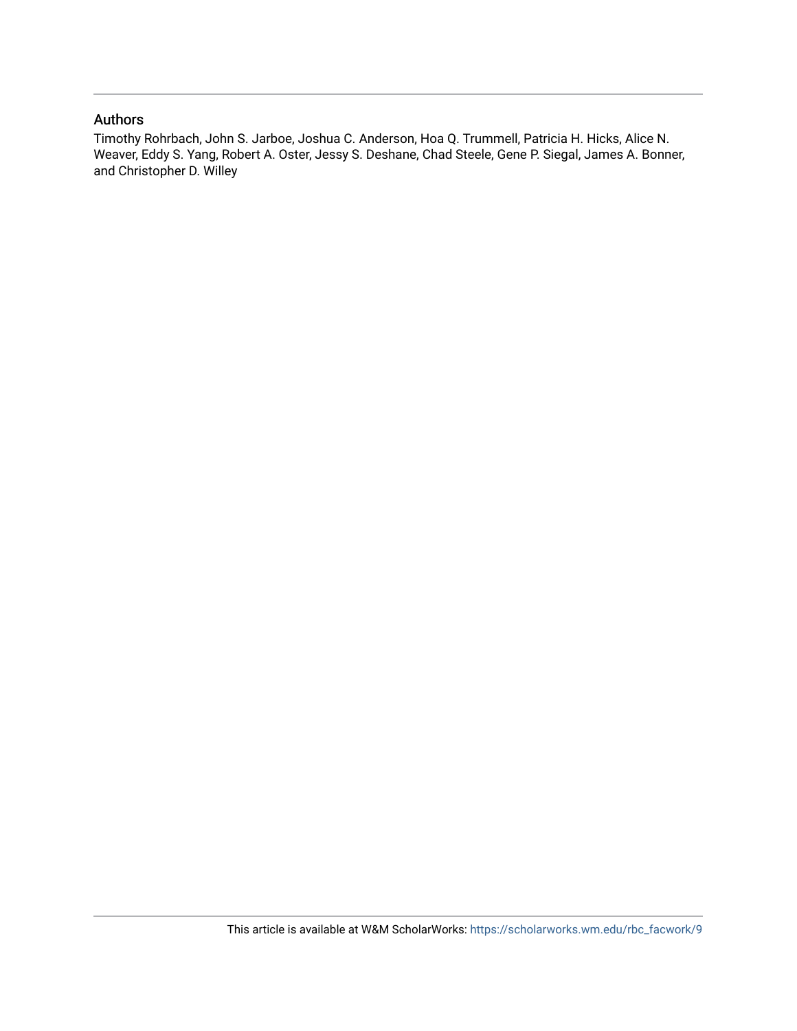## Authors

Timothy Rohrbach, John S. Jarboe, Joshua C. Anderson, Hoa Q. Trummell, Patricia H. Hicks, Alice N. Weaver, Eddy S. Yang, Robert A. Oster, Jessy S. Deshane, Chad Steele, Gene P. Siegal, James A. Bonner, and Christopher D. Willey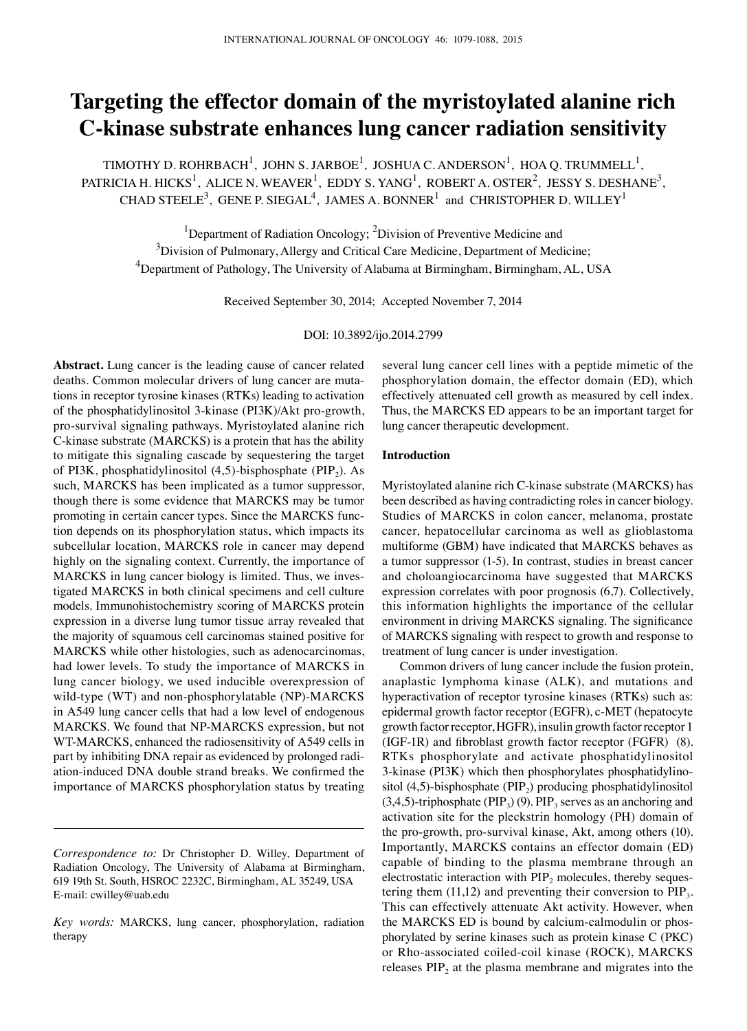## **Targeting the effector domain of the myristoylated alanine rich C-kinase substrate enhances lung cancer radiation sensitivity**

TIMOTHY D. ROHRBACH<sup>1</sup>, JOHN S. JARBOE<sup>1</sup>, JOSHUA C. ANDERSON<sup>1</sup>, HOA Q. TRUMMELL<sup>1</sup>, PATRICIA H. HICKS $^1$ , ALICE N. WEAVER $^1$ , EDDY S. YANG $^1$ , ROBERT A. OSTER $^2$ , JESSY S. DESHANE $^3$ , CHAD STEELE<sup>3</sup>, GENE P. SIEGAL<sup>4</sup>, JAMES A. BONNER<sup>1</sup> and CHRISTOPHER D. WILLEY<sup>1</sup>

<sup>1</sup>Department of Radiation Oncology; <sup>2</sup>Division of Preventive Medicine and <sup>3</sup>Division of Pulmonary, Allergy and Critical Care Medicine, Department of Medicine;  $^4$ Department of Pathology, The University of Alabama at Birmingham, Birmingham, AL, USA

Received September 30, 2014; Accepted November 7, 2014

DOI: 10.3892/ijo.2014.2799

**Abstract.** Lung cancer is the leading cause of cancer related deaths. Common molecular drivers of lung cancer are mutations in receptor tyrosine kinases (RTKs) leading to activation of the phosphatidylinositol 3-kinase (PI3K)/Akt pro-growth, pro-survival signaling pathways. Myristoylated alanine rich C-kinase substrate (MARCKS) is a protein that has the ability to mitigate this signaling cascade by sequestering the target of PI3K, phosphatidylinositol  $(4,5)$ -bisphosphate (PIP<sub>2</sub>). As such, MARCKS has been implicated as a tumor suppressor, though there is some evidence that MARCKS may be tumor promoting in certain cancer types. Since the MARCKS function depends on its phosphorylation status, which impacts its subcellular location, MARCKS role in cancer may depend highly on the signaling context. Currently, the importance of MARCKS in lung cancer biology is limited. Thus, we investigated MARCKS in both clinical specimens and cell culture models. Immunohistochemistry scoring of MARCKS protein expression in a diverse lung tumor tissue array revealed that the majority of squamous cell carcinomas stained positive for MARCKS while other histologies, such as adenocarcinomas, had lower levels. To study the importance of MARCKS in lung cancer biology, we used inducible overexpression of wild-type (WT) and non-phosphorylatable (NP)-MARCKS in A549 lung cancer cells that had a low level of endogenous MARCKS. We found that NP-MARCKS expression, but not WT-MARCKS, enhanced the radiosensitivity of A549 cells in part by inhibiting DNA repair as evidenced by prolonged radiation-induced DNA double strand breaks. We confirmed the importance of MARCKS phosphorylation status by treating several lung cancer cell lines with a peptide mimetic of the phosphorylation domain, the effector domain (ED), which effectively attenuated cell growth as measured by cell index. Thus, the MARCKS ED appears to be an important target for lung cancer therapeutic development.

#### **Introduction**

Myristoylated alanine rich C-kinase substrate (MARCKS) has been described as having contradicting roles in cancer biology. Studies of MARCKS in colon cancer, melanoma, prostate cancer, hepatocellular carcinoma as well as glioblastoma multiforme (GBM) have indicated that MARCKS behaves as a tumor suppressor (1-5). In contrast, studies in breast cancer and choloangiocarcinoma have suggested that MARCKS expression correlates with poor prognosis (6,7). Collectively, this information highlights the importance of the cellular environment in driving MARCKS signaling. The significance of MARCKS signaling with respect to growth and response to treatment of lung cancer is under investigation.

Common drivers of lung cancer include the fusion protein, anaplastic lymphoma kinase (ALK), and mutations and hyperactivation of receptor tyrosine kinases (RTKs) such as: epidermal growth factor receptor (EGFR), c-MET (hepatocyte growth factor receptor, HGFR), insulin growth factor receptor 1 (IGF-1R) and fibroblast growth factor receptor (FGFR) (8). RTKs phosphorylate and activate phosphatidylinositol 3-kinase (PI3K) which then phosphorylates phosphatidylinositol  $(4,5)$ -bisphosphate  $(PIP<sub>2</sub>)$  producing phosphatidylinositol  $(3,4,5)$ -triphosphate (PIP<sub>3</sub>) (9). PIP<sub>3</sub> serves as an anchoring and activation site for the pleckstrin homology (PH) domain of the pro-growth, pro-survival kinase, Akt, among others (10). Importantly, MARCKS contains an effector domain (ED) capable of binding to the plasma membrane through an electrostatic interaction with  $\text{PIP}_2$  molecules, thereby sequestering them  $(11,12)$  and preventing their conversion to  $\text{PIP}_3$ . This can effectively attenuate Akt activity. However, when the MARCKS ED is bound by calcium-calmodulin or phosphorylated by serine kinases such as protein kinase C (PKC) or Rho-associated coiled-coil kinase (ROCK), MARCKS releases  $\text{PIP}_2$  at the plasma membrane and migrates into the

*Correspondence to:* Dr Christopher D. Willey, Department of Radiation Oncology, The University of Alabama at Birmingham, 619 19th St. South, HSROC 2232C, Birmingham, AL 35249, USA E-mail: cwilley@uab.edu

*Key words:* MARCKS, lung cancer, phosphorylation, radiation therapy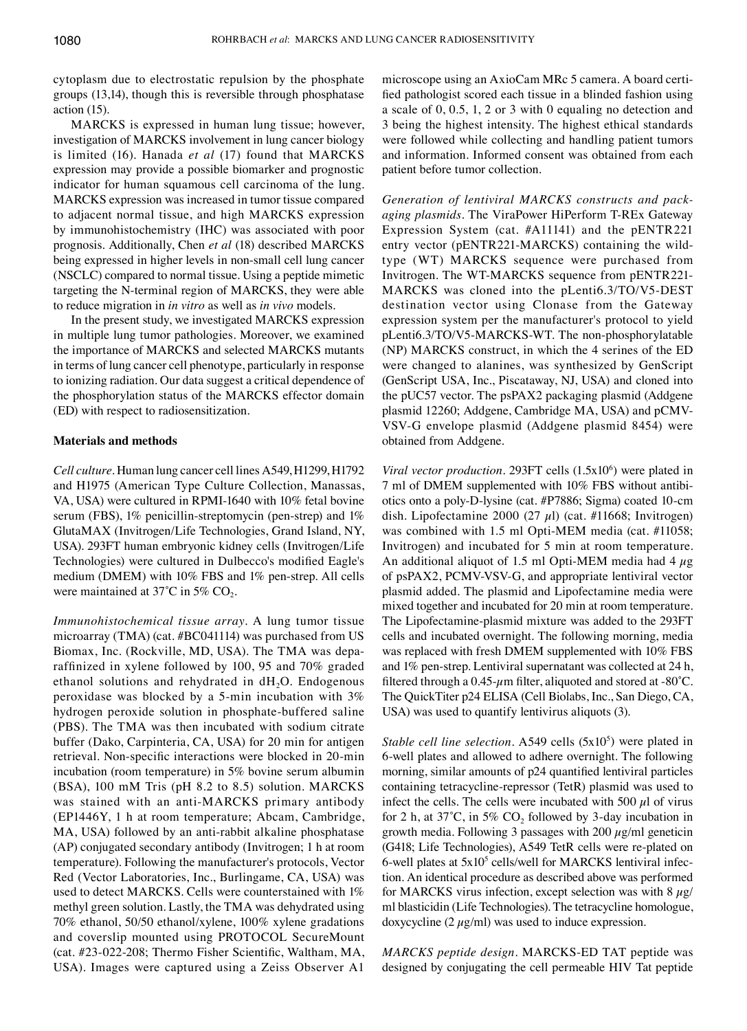cytoplasm due to electrostatic repulsion by the phosphate groups (13,14), though this is reversible through phosphatase action (15).

MARCKS is expressed in human lung tissue; however, investigation of MARCKS involvement in lung cancer biology is limited (16). Hanada *et al* (17) found that MARCKS expression may provide a possible biomarker and prognostic indicator for human squamous cell carcinoma of the lung. MARCKS expression was increased in tumor tissue compared to adjacent normal tissue, and high MARCKS expression by immunohistochemistry (IHC) was associated with poor prognosis. Additionally, Chen *et al* (18) described MARCKS being expressed in higher levels in non-small cell lung cancer (NSCLC) compared to normal tissue. Using a peptide mimetic targeting the N-terminal region of MARCKS, they were able to reduce migration in *in vitro* as well as *in vivo* models.

In the present study, we investigated MARCKS expression in multiple lung tumor pathologies. Moreover, we examined the importance of MARCKS and selected MARCKS mutants in terms of lung cancer cell phenotype, particularly in response to ionizing radiation. Our data suggest a critical dependence of the phosphorylation status of the MARCKS effector domain (ED) with respect to radiosensitization.

#### **Materials and methods**

*Cell culture.* Human lung cancer cell lines A549, H1299, H1792 and H1975 (American Type Culture Collection, Manassas, VA, USA) were cultured in RPMI-1640 with 10% fetal bovine serum (FBS), 1% penicillin-streptomycin (pen-strep) and 1% GlutaMAX (Invitrogen/Life Technologies, Grand Island, NY, USA). 293FT human embryonic kidney cells (Invitrogen/Life Technologies) were cultured in Dulbecco's modified Eagle's medium (DMEM) with 10% FBS and 1% pen-strep. All cells were maintained at  $37^{\circ}$ C in  $5\%$  CO<sub>2</sub>.

*Immunohistochemical tissue array.* A lung tumor tissue microarray (TMA) (cat. #BC041114) was purchased from US Biomax, Inc. (Rockville, MD, USA). The TMA was deparaffinized in xylene followed by 100, 95 and 70% graded ethanol solutions and rehydrated in  $dH_2O$ . Endogenous peroxidase was blocked by a 5-min incubation with 3% hydrogen peroxide solution in phosphate-buffered saline (PBS). The TMA was then incubated with sodium citrate buffer (Dako, Carpinteria, CA, USA) for 20 min for antigen retrieval. Non-specific interactions were blocked in 20-min incubation (room temperature) in 5% bovine serum albumin (BSA), 100 mM Tris (pH 8.2 to 8.5) solution. MARCKS was stained with an anti-MARCKS primary antibody (EP1446Y, 1 h at room temperature; Abcam, Cambridge, MA, USA) followed by an anti-rabbit alkaline phosphatase (AP) conjugated secondary antibody (Invitrogen; 1 h at room temperature). Following the manufacturer's protocols, Vector Red (Vector Laboratories, Inc., Burlingame, CA, USA) was used to detect MARCKS. Cells were counterstained with 1% methyl green solution. Lastly, the TMA was dehydrated using 70% ethanol, 50/50 ethanol/xylene, 100% xylene gradations and coverslip mounted using PROTOCOL SecureMount (cat. #23-022‑208; Thermo Fisher Scientific, Waltham, MA, USA). Images were captured using a Zeiss Observer A1

microscope using an AxioCam MRc 5 camera. A board certified pathologist scored each tissue in a blinded fashion using a scale of 0, 0.5, 1, 2 or 3 with 0 equaling no detection and 3 being the highest intensity. The highest ethical standards were followed while collecting and handling patient tumors and information. Informed consent was obtained from each patient before tumor collection.

*Generation of lentiviral MARCKS constructs and packaging plasmids.* The ViraPower HiPerform T-REx Gateway Expression System (cat. #A11141) and the pENTR221 entry vector (pENTR221-MARCKS) containing the wildtype (WT) MARCKS sequence were purchased from Invitrogen. The WT-MARCKS sequence from pENTR221- MARCKS was cloned into the pLenti6.3/TO/V5-DEST destination vector using Clonase from the Gateway expression system per the manufacturer's protocol to yield pLenti6.3/TO/V5-MARCKS-WT. The non-phosphorylatable (NP) MARCKS construct, in which the 4 serines of the ED were changed to alanines, was synthesized by GenScript (GenScript USA, Inc., Piscataway, NJ, USA) and cloned into the pUC57 vector. The psPAX2 packaging plasmid (Addgene plasmid 12260; Addgene, Cambridge MA, USA) and pCMV-VSV-G envelope plasmid (Addgene plasmid 8454) were obtained from Addgene.

*Viral vector production.* 293FT cells (1.5x10<sup>6</sup>) were plated in 7 ml of DMEM supplemented with 10% FBS without antibiotics onto a poly-D-lysine (cat. #P7886; Sigma) coated 10-cm dish. Lipofectamine 2000 (27  $\mu$ l) (cat. #11668; Invitrogen) was combined with 1.5 ml Opti-MEM media (cat. #11058; Invitrogen) and incubated for 5 min at room temperature. An additional aliquot of 1.5 ml Opti-MEM media had 4  $\mu$ g of psPAX2, PCMV-VSV-G, and appropriate lentiviral vector plasmid added. The plasmid and lipofectamine media were mixed together and incubated for 20 min at room temperature. The Lipofectamine-plasmid mixture was added to the 293FT cells and incubated overnight. The following morning, media was replaced with fresh DMEM supplemented with 10% FBS and 1% pen-strep. Lentiviral supernatant was collected at 24 h, filtered through a  $0.45$ - $\mu$ m filter, aliquoted and stored at -80°C. The QuickTiter p24 ELISA (Cell Biolabs, Inc., San Diego, Ca, USA) was used to quantify lentivirus aliquots (3).

*Stable cell line selection.* A549 cells (5x10<sup>5</sup>) were plated in 6-well plates and allowed to adhere overnight. The following morning, similar amounts of p24 quantified lentiviral particles containing tetracycline-repressor (TetR) plasmid was used to infect the cells. The cells were incubated with 500  $\mu$ l of virus for 2 h, at  $37^{\circ}$ C, in 5% CO<sub>2</sub> followed by 3-day incubation in growth media. Following 3 passages with 200  $\mu$ g/ml geneticin (G418; Life Technologies), A549 TetR cells were re-plated on 6-well plates at  $5x10^5$  cells/well for MARCKS lentiviral infection. An identical procedure as described above was performed for MARCKS virus infection, except selection was with  $8 \mu g$ / ml blasticidin (Life Technologies). The tetracycline homologue, doxycycline  $(2 \mu g/ml)$  was used to induce expression.

*MARCKS peptide design.* MARCKS-ED TAT peptide was designed by conjugating the cell permeable HIV Tat peptide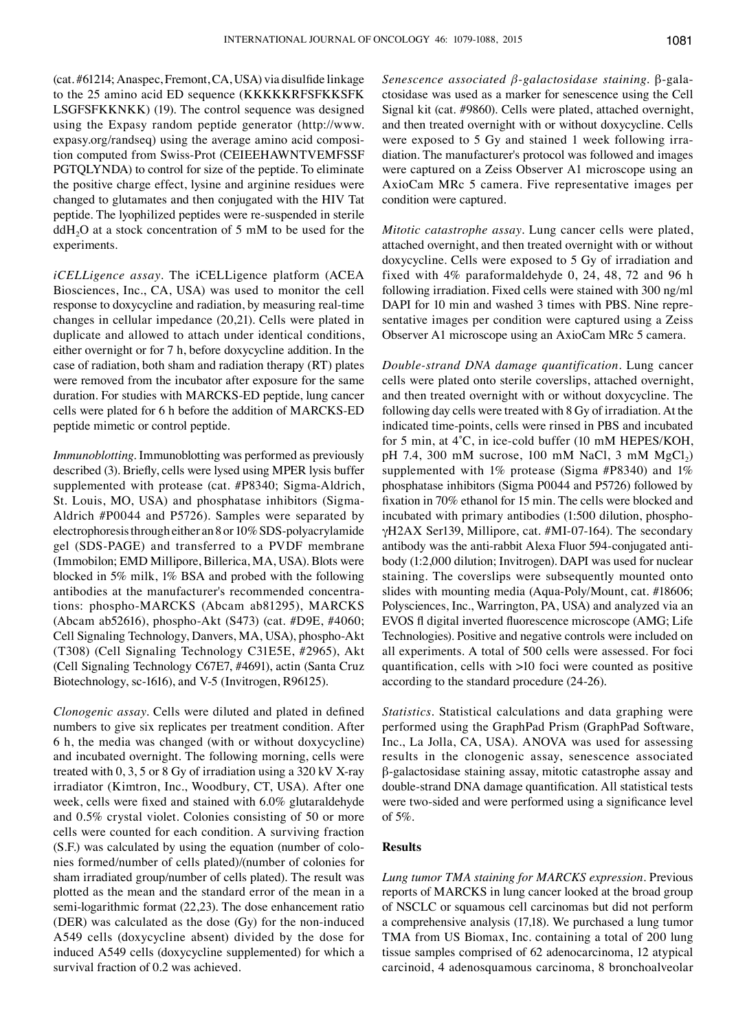(cat. #61214; Anaspec, Fremont, CA, USA) via disulfide linkage to the 25 amino acid ED sequence (KKKKKRFSFKKSFK LSGFSFKKNKK) (19). The control sequence was designed using the Expasy random peptide generator (http://www. expasy.org/randseq) using the average amino acid composition computed from Swiss-Prot (CEIEEHAWNTVEMFSSF PGTQLYNDA) to control for size of the peptide. To eliminate the positive charge effect, lysine and arginine residues were changed to glutamates and then conjugated with the HIV Tat peptide. The lyophilized peptides were re-suspended in sterile  $ddH<sub>2</sub>O$  at a stock concentration of 5 mM to be used for the experiments.

*iCELLigence assay.* The iCELLigence platform (ACEA Biosciences, Inc., CA, USA) was used to monitor the cell response to doxycycline and radiation, by measuring real-time changes in cellular impedance (20,21). Cells were plated in duplicate and allowed to attach under identical conditions, either overnight or for 7 h, before doxycycline addition. In the case of radiation, both sham and radiation therapy (RT) plates were removed from the incubator after exposure for the same duration. For studies with MARCKS-ED peptide, lung cancer cells were plated for 6 h before the addition of MARCKS-ED peptide mimetic or control peptide.

*Immunoblotting.* Immunoblotting was performed as previously described (3). Briefly, cells were lysed using MPER lysis buffer supplemented with protease (cat. #P8340; Sigma-Aldrich, St. Louis, MO, USA) and phosphatase inhibitors (Sigma-Aldrich #P0044 and P5726). Samples were separated by electrophoresis through either an 8 or 10% SDS-polyacrylamide gel (SDS-PAGE) and transferred to a PVDF membrane (Immobilon; EMD Millipore, Billerica, MA, USA). Blots were blocked in 5% milk, 1% BSA and probed with the following antibodies at the manufacturer's recommended concentrations: phospho-MARCKS (Abcam ab81295), MARCKS (Abcam ab52616), phospho-Akt (S473) (cat. #D9E, #4060; Cell Signaling Technology, Danvers, MA, USA), phospho-Akt (T308) (Cell Signaling Technology C31E5E, #2965), Akt (Cell Signaling Technology C67E7, #4691), actin (Santa Cruz Biotechnology, sc-1616), and V-5 (Invitrogen, R96125).

*Clonogenic assay.* Cells were diluted and plated in defined numbers to give six replicates per treatment condition. After 6 h, the media was changed (with or without doxycycline) and incubated overnight. The following morning, cells were treated with 0, 3, 5 or 8 Gy of irradiation using a 320 kV X-ray irradiator (Kimtron, Inc., Woodbury, CT, USA). After one week, cells were fixed and stained with 6.0% glutaraldehyde and 0.5% crystal violet. Colonies consisting of 50 or more cells were counted for each condition. A surviving fraction (S.F.) was calculated by using the equation (number of colonies formed/number of cells plated)/(number of colonies for sham irradiated group/number of cells plated). The result was plotted as the mean and the standard error of the mean in a semi-logarithmic format (22,23). The dose enhancement ratio (DER) was calculated as the dose (Gy) for the non-induced A549 cells (doxycycline absent) divided by the dose for induced A549 cells (doxycycline supplemented) for which a survival fraction of 0.2 was achieved.

*Senescence associated β-galactosidase staining.* β-galactosidase was used as a marker for senescence using the Cell Signal kit (cat. #9860). Cells were plated, attached overnight, and then treated overnight with or without doxycycline. Cells were exposed to 5 Gy and stained 1 week following irradiation. The manufacturer's protocol was followed and images were captured on a Zeiss Observer A1 microscope using an AxioCam MRc 5 camera. Five representative images per condition were captured.

*Mitotic catastrophe assay.* Lung cancer cells were plated, attached overnight, and then treated overnight with or without doxycycline. Cells were exposed to 5 Gy of irradiation and fixed with 4% paraformaldehyde 0, 24, 48, 72 and 96 h following irradiation. Fixed cells were stained with 300 ng/ml DAPI for 10 min and washed 3 times with PBS. Nine representative images per condition were captured using a Zeiss Observer A1 microscope using an AxioCam MRc 5 camera.

*Double-strand DNA damage quantification.* Lung cancer cells were plated onto sterile coverslips, attached overnight, and then treated overnight with or without doxycycline. The following day cells were treated with 8 Gy of irradiation. At the indicated time-points, cells were rinsed in PBS and incubated for 5 min, at 4˚C, in ice-cold buffer (10 mM Hepes/KOH, pH 7.4, 300 mM sucrose, 100 mM NaCl, 3 mM  $MgCl<sub>2</sub>$ ) supplemented with 1% protease (Sigma #P8340) and 1% phosphatase inhibitors (Sigma P0044 and P5726) followed by fixation in 70% ethanol for 15 min. The cells were blocked and incubated with primary antibodies (1:500 dilution, phosphoγH2AX Ser139, Millipore, cat. #MI-07-164). The secondary antibody was the anti-rabbit Alexa Fluor 594-conjugated antibody (1:2,000 dilution; Invitrogen). DAPI was used for nuclear staining. The coverslips were subsequently mounted onto slides with mounting media (Aqua-Poly/Mount, cat. #18606; Polysciences, Inc., Warrington, PA, USA) and analyzed via an EVOS fl digital inverted fluorescence microscope (AMG; Life Technologies). Positive and negative controls were included on all experiments. A total of 500 cells were assessed. For foci quantification, cells with >10 foci were counted as positive according to the standard procedure (24-26).

*Statistics.* Statistical calculations and data graphing were performed using the GraphPad Prism (GraphPad Software, Inc., La Jolla, CA, USA). ANOVA was used for assessing results in the clonogenic assay, senescence associated β-galactosidase staining assay, mitotic catastrophe assay and double-strand DNA damage quantification. All statistical tests were two-sided and were performed using a significance level of 5%.

#### **Results**

*Lung tumor TMA staining for MARCKS expression.* Previous reports of MARCKS in lung cancer looked at the broad group of NSCLC or squamous cell carcinomas but did not perform a comprehensive analysis (17,18). We purchased a lung tumor TMA from US Biomax, Inc. containing a total of 200 lung tissue samples comprised of 62 adenocarcinoma, 12 atypical carcinoid, 4 adenosquamous carcinoma, 8 bronchoalveolar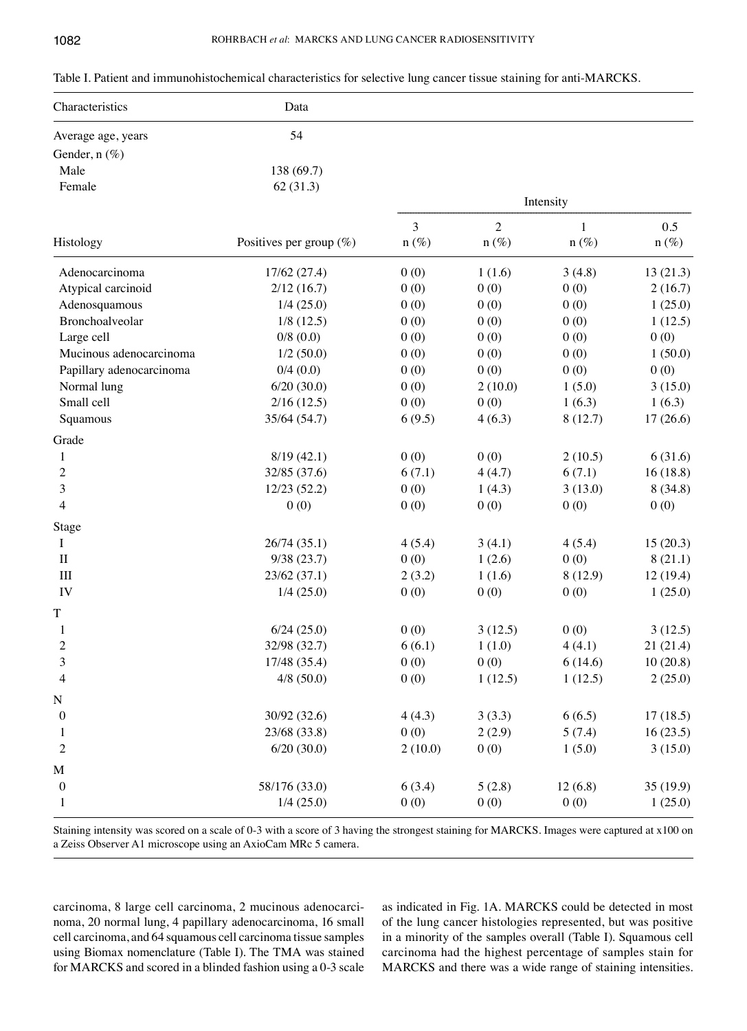| Table I. Patient and immunohistochemical characteristics for selective lung cancer tissue staining for anti-MARCKS. |  |  |  |
|---------------------------------------------------------------------------------------------------------------------|--|--|--|
|---------------------------------------------------------------------------------------------------------------------|--|--|--|

| Characteristics          | Data                       |              |                           |                         |                |
|--------------------------|----------------------------|--------------|---------------------------|-------------------------|----------------|
| Average age, years       | 54                         |              |                           |                         |                |
| Gender, n (%)            |                            |              |                           |                         |                |
| Male                     | 138 (69.7)                 |              |                           |                         |                |
| Female                   | 62(31.3)                   |              |                           |                         |                |
|                          |                            | Intensity    |                           |                         |                |
| Histology                | Positives per group $(\%)$ | 3<br>$n(\%)$ | $\overline{2}$<br>$n(\%)$ | $\mathbf{1}$<br>$n(\%)$ | 0.5<br>$n(\%)$ |
| Adenocarcinoma           | 17/62 (27.4)               | 0(0)         | 1(1.6)                    | 3(4.8)                  | 13(21.3)       |
| Atypical carcinoid       | 2/12(16.7)                 | 0(0)         | 0(0)                      | 0(0)                    | 2(16.7)        |
| Adenosquamous            | 1/4(25.0)                  | 0(0)         | 0(0)                      | 0(0)                    | 1(25.0)        |
| Bronchoalveolar          | $1/8$ (12.5)               | 0(0)         | 0(0)                      | 0(0)                    | 1(12.5)        |
| Large cell               | 0/8(0.0)                   | 0(0)         | 0(0)                      | 0(0)                    | 0(0)           |
| Mucinous adenocarcinoma  | 1/2(50.0)                  | 0(0)         | 0(0)                      | 0(0)                    | 1(50.0)        |
| Papillary adenocarcinoma | 0/4(0.0)                   | 0(0)         | 0(0)                      | 0(0)                    | 0(0)           |
| Normal lung              | 6/20(30.0)                 | 0(0)         | 2(10.0)                   | 1(5.0)                  | 3(15.0)        |
| Small cell               | 2/16(12.5)                 | 0(0)         | 0(0)                      | 1(6.3)                  | 1(6.3)         |
| Squamous                 | 35/64 (54.7)               | 6(9.5)       | 4(6.3)                    | 8(12.7)                 | 17(26.6)       |
| Grade                    |                            |              |                           |                         |                |
| 1                        | 8/19(42.1)                 | 0(0)         | 0(0)                      | 2(10.5)                 | 6(31.6)        |
| 2                        | 32/85 (37.6)               | 6(7.1)       | 4(4.7)                    | 6(7.1)                  | 16(18.8)       |
| 3                        | 12/23(52.2)                | 0(0)         | 1(4.3)                    | 3(13.0)                 | 8(34.8)        |
| $\overline{4}$           | 0(0)                       | 0(0)         | 0(0)                      | 0(0)                    | 0(0)           |
| Stage                    |                            |              |                           |                         |                |
| I                        | 26/74 (35.1)               | 4(5.4)       | 3(4.1)                    | 4(5.4)                  | 15(20.3)       |
| $\mathbf{I}$             | 9/38(23.7)                 | 0(0)         | 1(2.6)                    | 0(0)                    | 8(21.1)        |
| III                      | 23/62(37.1)                | 2(3.2)       | 1(1.6)                    | 8(12.9)                 | 12(19.4)       |
| IV                       | 1/4(25.0)                  | 0(0)         | 0(0)                      | 0(0)                    | 1(25.0)        |
| T                        |                            |              |                           |                         |                |
| $\mathbf{1}$             | 6/24(25.0)                 | 0(0)         | 3(12.5)                   | 0(0)                    | 3(12.5)        |
| $\overline{2}$           | 32/98 (32.7)               | 6(6.1)       | 1(1.0)                    | 4(4.1)                  | 21(21.4)       |
| $\overline{3}$           | 17/48 (35.4)               | 0(0)         | 0(0)                      | 6(14.6)                 | 10(20.8)       |
| $\overline{4}$           | $4/8$ (50.0)               | 0(0)         | 1(12.5)                   | 1(12.5)                 | 2(25.0)        |
| N                        |                            |              |                           |                         |                |
| $\boldsymbol{0}$         | 30/92 (32.6)               | 4(4.3)       | 3(3.3)                    | 6(6.5)                  | 17(18.5)       |
| 1                        | 23/68 (33.8)               | 0(0)         | 2(2.9)                    | 5(7.4)                  | 16(23.5)       |
| $\boldsymbol{2}$         | 6/20(30.0)                 | 2(10.0)      | 0(0)                      | 1(5.0)                  | 3(15.0)        |
| M                        |                            |              |                           |                         |                |
| $\boldsymbol{0}$         | 58/176 (33.0)              | 6(3.4)       | 5(2.8)                    | 12(6.8)                 | 35(19.9)       |
| 1                        | 1/4(25.0)                  | 0(0)         | 0(0)                      | 0(0)                    | 1(25.0)        |

Staining intensity was scored on a scale of 0-3 with a score of 3 having the strongest staining for MARCKS. Images were captured at x100 on a Zeiss Observer A1 microscope using an AxioCam MRc 5 camera.

carcinoma, 8 large cell carcinoma, 2 mucinous adenocarcinoma, 20 normal lung, 4 papillary adenocarcinoma, 16 small cell carcinoma, and 64 squamous cell carcinoma tissue samples using Biomax nomenclature (Table I). The TMA was stained for MARCKS and scored in a blinded fashion using a 0-3 scale as indicated in Fig. 1A. MARCKS could be detected in most of the lung cancer histologies represented, but was positive in a minority of the samples overall (Table I). Squamous cell carcinoma had the highest percentage of samples stain for MARCKS and there was a wide range of staining intensities.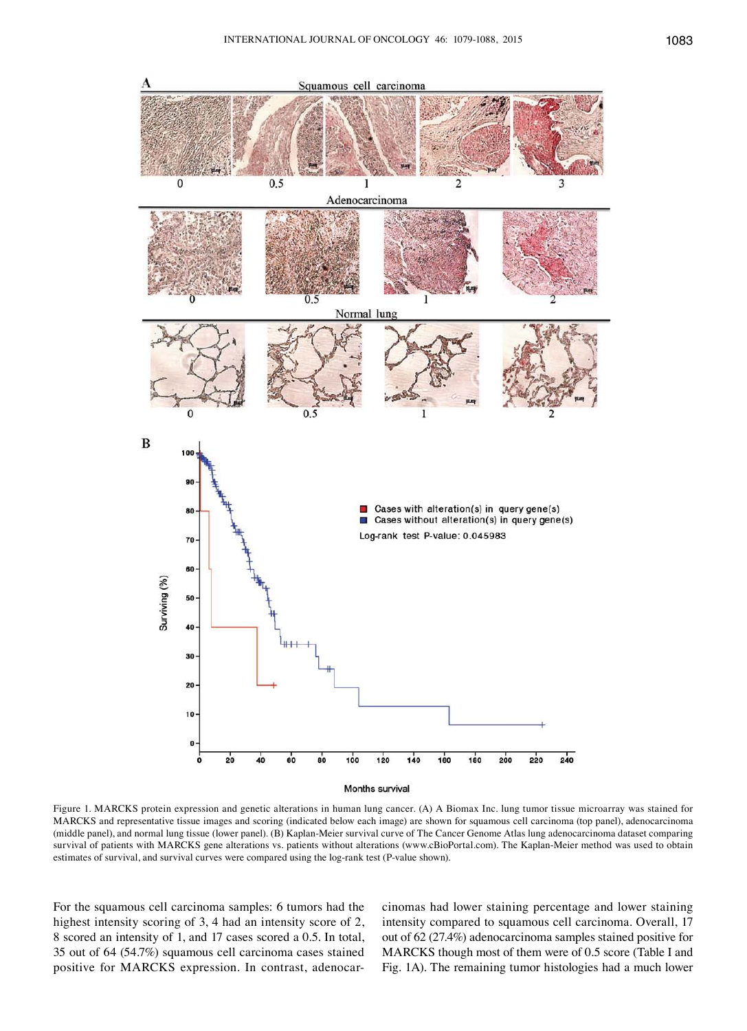

Figure 1. MARCKS protein expression and genetic alterations in human lung cancer. (A) A Biomax Inc. lung tumor tissue microarray was stained for MARCKS and representative tissue images and scoring (indicated below each image) are shown for squamous cell carcinoma (top panel), adenocarcinoma (middle panel), and normal lung tissue (lower panel). (B) Kaplan-Meier survival curve of The Cancer Genome Atlas lung adenocarcinoma dataset comparing survival of patients with MARCKS gene alterations vs. patients without alterations (www.cBioPortal.com). The Kaplan-Meier method was used to obtain estimates of survival, and survival curves were compared using the log-rank test (P-value shown).

For the squamous cell carcinoma samples: 6 tumors had the highest intensity scoring of 3, 4 had an intensity score of 2, 8 scored an intensity of 1, and 17 cases scored a 0.5. In total, 35 out of 64 (54.7%) squamous cell carcinoma cases stained positive for MARCKS expression. In contrast, adenocarcinomas had lower staining percentage and lower staining intensity compared to squamous cell carcinoma. Overall, 17 out of 62 (27.4%) adenocarcinoma samples stained positive for MARCKS though most of them were of 0.5 score (Table I and Fig. 1A). The remaining tumor histologies had a much lower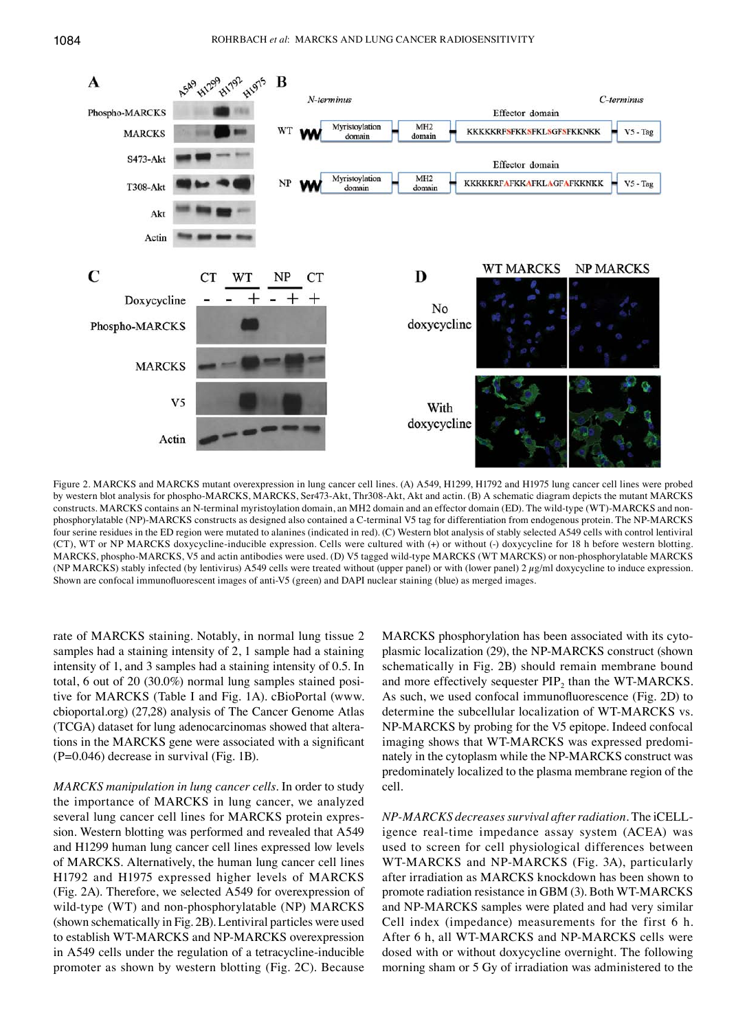

Figure 2. MARCKS and MARCKS mutant overexpression in lung cancer cell lines. (A) A549, H1299, H1792 and H1975 lung cancer cell lines were probed by western blot analysis for phospho-MARCKS, MARCKS, Ser473-Akt, Thr308-Akt, Akt and actin. (B) A schematic diagram depicts the mutant MARCKS constructs. MARCKS contains an N-terminal myristoylation domain, an MH2 domain and an effector domain (ED). The wild-type (WT)-MARCKS and nonphosphorylatable (NP)-MARCKS constructs as designed also contained a C-terminal V5 tag for differentiation from endogenous protein. The NP-MARCKS four serine residues in the ED region were mutated to alanines (indicated in red). (C) Western blot analysis of stably selected A549 cells with control lentiviral (CT), WT or NP MARCKS doxycycline-inducible expression. Cells were cultured with (+) or without (-) doxycycline for 18 h before western blotting. MARCKS, phospho-MARCKS, V5 and actin antibodies were used. (D) V5 tagged wild-type MARCKS (WT MARCKS) or non-phosphorylatable MARCKS (NP MARCKS) stably infected (by lentivirus) A549 cells were treated without (upper panel) or with (lower panel)  $2 \mu g/ml$  doxycycline to induce expression. Shown are confocal immunofluorescent images of anti-V5 (green) and DAPI nuclear staining (blue) as merged images.

rate of MARCKS staining. Notably, in normal lung tissue 2 samples had a staining intensity of 2, 1 sample had a staining intensity of 1, and 3 samples had a staining intensity of 0.5. In total, 6 out of 20 (30.0%) normal lung samples stained positive for MARCKS (Table I and Fig. 1A). cBioPortal (www. cbioportal.org) (27,28) analysis of The Cancer Genome Atlas (TCGA) dataset for lung adenocarcinomas showed that alterations in the MARCKS gene were associated with a significant (p=0.046) decrease in survival (Fig. 1B).

*MARCKS manipulation in lung cancer cells.* In order to study the importance of MARCKS in lung cancer, we analyzed several lung cancer cell lines for MARCKS protein expression. Western blotting was performed and revealed that A549 and H1299 human lung cancer cell lines expressed low levels of MARCKS. Alternatively, the human lung cancer cell lines H1792 and H1975 expressed higher levels of MARCKS (Fig. 2A). Therefore, we selected A549 for overexpression of wild-type (WT) and non-phosphorylatable (NP) MARCKS (shown schematically in Fig. 2B). Lentiviral particles were used to establish WT-MARCKS and NP-MARCKS overexpression in A549 cells under the regulation of a tetracycline-inducible promoter as shown by western blotting (Fig. 2C). Because MARCKS phosphorylation has been associated with its cytoplasmic localization (29), the NP-MARCKS construct (shown schematically in Fig. 2B) should remain membrane bound and more effectively sequester  $PIP_2$  than the WT-MARCKS. As such, we used confocal immunofluorescence (Fig. 2D) to determine the subcellular localization of WT-MARCKS vs. NP-MARCKS by probing for the V5 epitope. Indeed confocal imaging shows that WT-MARCKS was expressed predominately in the cytoplasm while the NP-MARCKS construct was predominately localized to the plasma membrane region of the cell.

*NP-MARCKS decreases survival after radiation.* The iCELLigence real-time impedance assay system (ACEA) was used to screen for cell physiological differences between WT-MARCKS and NP-MARCKS (Fig. 3A), particularly after irradiation as MARCKS knockdown has been shown to promote radiation resistance in GBM (3). Both WT-MARCKS and NP-MARCKS samples were plated and had very similar cell index (impedance) measurements for the first 6 h. After 6 h, all WT-MARCKS and NP-MARCKS cells were dosed with or without doxycycline overnight. The following morning sham or 5 Gy of irradiation was administered to the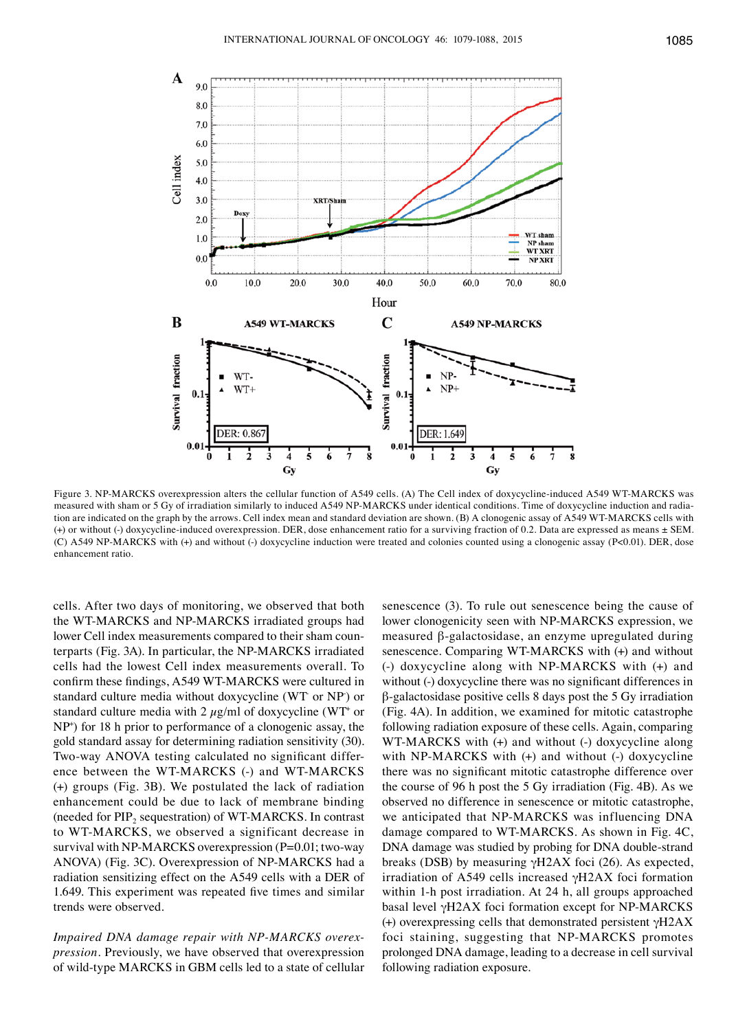

Figure 3. NP-MARCKS overexpression alters the cellular function of A549 cells. (A) The Cell index of doxycycline-induced A549 WT-MARCKS was measured with sham or 5 Gy of irradiation similarly to induced A549 NP-MARCKS under identical conditions. Time of doxycycline induction and radiation are indicated on the graph by the arrows. Cell index mean and standard deviation are shown. (B) A clonogenic assay of A549 WT-MARCKS cells with (+) or without (-) doxycycline-induced overexpression. DER, dose enhancement ratio for a surviving fraction of 0.2. Data are expressed as means ± SEM. (C) A549 NP-MARCKS with (+) and without (-) doxycycline induction were treated and colonies counted using a clonogenic assay (p<0.01). DER, dose enhancement ratio.

cells. After two days of monitoring, we observed that both the WT-MARCKS and NP-MARCKS irradiated groups had lower Cell index measurements compared to their sham counterparts (Fig. 3A). In particular, the NP-MARCKS irradiated cells had the lowest Cell index measurements overall. To confirm these findings, A549 WT-MARCKS were cultured in standard culture media without doxycycline (WT or NP) or standard culture media with 2  $\mu$ g/ml of doxycycline (WT<sup>+</sup> or NP+ ) for 18 h prior to performance of a clonogenic assay, the gold standard assay for determining radiation sensitivity (30). Two-way ANOVA testing calculated no significant difference between the WT-MARCKS (-) and WT-MARCKS (+) groups (Fig. 3B). We postulated the lack of radiation enhancement could be due to lack of membrane binding (needed for  $PIP_2$  sequestration) of WT-MARCKS. In contrast to WT-MARCKS, we observed a significant decrease in survival with NP-MARCKS overexpression  $(P=0.01;$  two-way ANOVA) (Fig. 3C). Overexpression of NP-MARCKS had a radiation sensitizing effect on the A549 cells with a DER of 1.649. This experiment was repeated five times and similar trends were observed.

*Impaired DNA damage repair with NP-MARCKS overexpression.* Previously, we have observed that overexpression of wild-type MARCKS in GBM cells led to a state of cellular senescence (3). To rule out senescence being the cause of lower clonogenicity seen with NP-MARCKS expression, we measured β-galactosidase, an enzyme upregulated during senescence. Comparing WT-MARCKS with (+) and without (-) doxycycline along with NP-MARCKS with (+) and without (-) doxycycline there was no significant differences in β-galactosidase positive cells 8 days post the 5 Gy irradiation (Fig. 4A). In addition, we examined for mitotic catastrophe following radiation exposure of these cells. Again, comparing WT-MARCKS with (+) and without (-) doxycycline along with NP-MARCKS with (+) and without (-) doxycycline there was no significant mitotic catastrophe difference over the course of 96 h post the 5 Gy irradiation (Fig. 4B). As we observed no difference in senescence or mitotic catastrophe, we anticipated that NP-MARCKS was influencing DNA damage compared to WT-MARCKS. As shown in Fig. 4C, DNA damage was studied by probing for DNA double-strand breaks (DSB) by measuring  $\gamma$ H2AX foci (26). As expected, irradiation of A549 cells increased γH2AX foci formation within 1-h post irradiation. At 24 h, all groups approached basal level γH2AX foci formation except for NP-MARCKS (+) overexpressing cells that demonstrated persistent  $\gamma$ H2AX foci staining, suggesting that NP-MARCKS promotes prolonged DNA damage, leading to a decrease in cell survival following radiation exposure.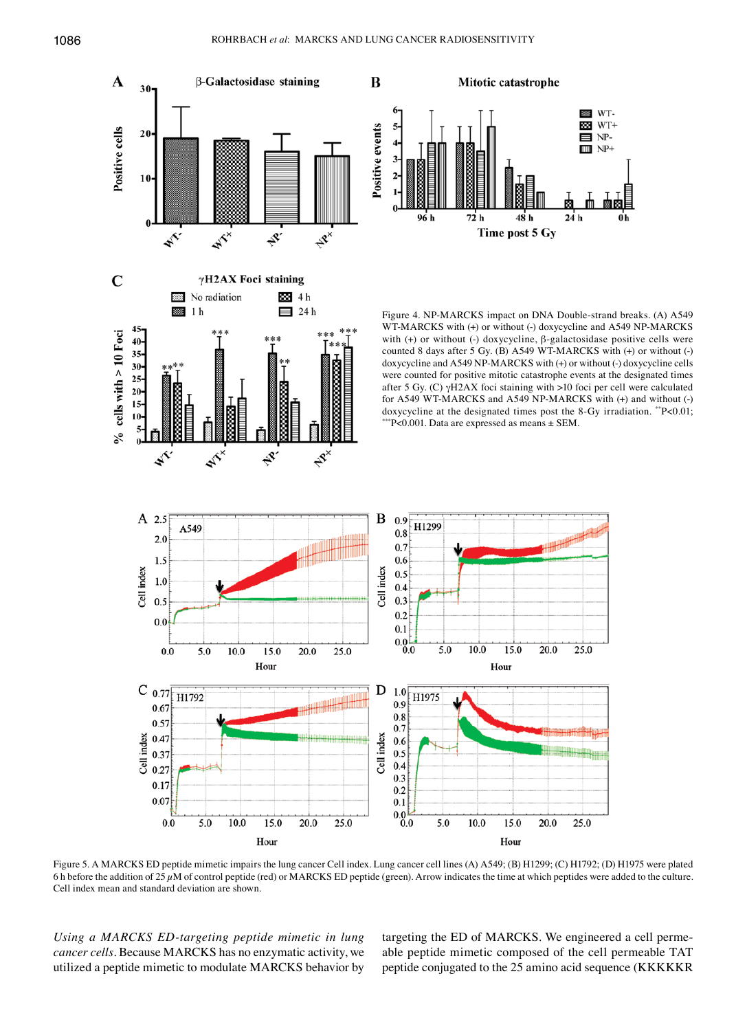

Figure 5. A MARCKS ED peptide mimetic impairs the lung cancer Cell index. Lung cancer cell lines (A) A549; (B) H1299; (C) H1792; (D) H1975 were plated 6 h before the addition of 25 µM of control peptide (red) or MARCKS ED peptide (green). Arrow indicates the time at which peptides were added to the culture. Cell index mean and standard deviation are shown.

*Using a MARCKS ED-targeting peptide mimetic in lung cancer cells.* Because MARCKS has no enzymatic activity, we utilized a peptide mimetic to modulate MARCKS behavior by targeting the ED of MARCKS. We engineered a cell permeable peptide mimetic composed of the cell permeable TAT peptide conjugated to the 25 amino acid sequence (KKKKKR

**EXECUTE** WT- $WT+$ Ø.

 $\blacksquare$  NP- $III \, NP+$ 

 $24h$ 

 $25.0$ 

25.0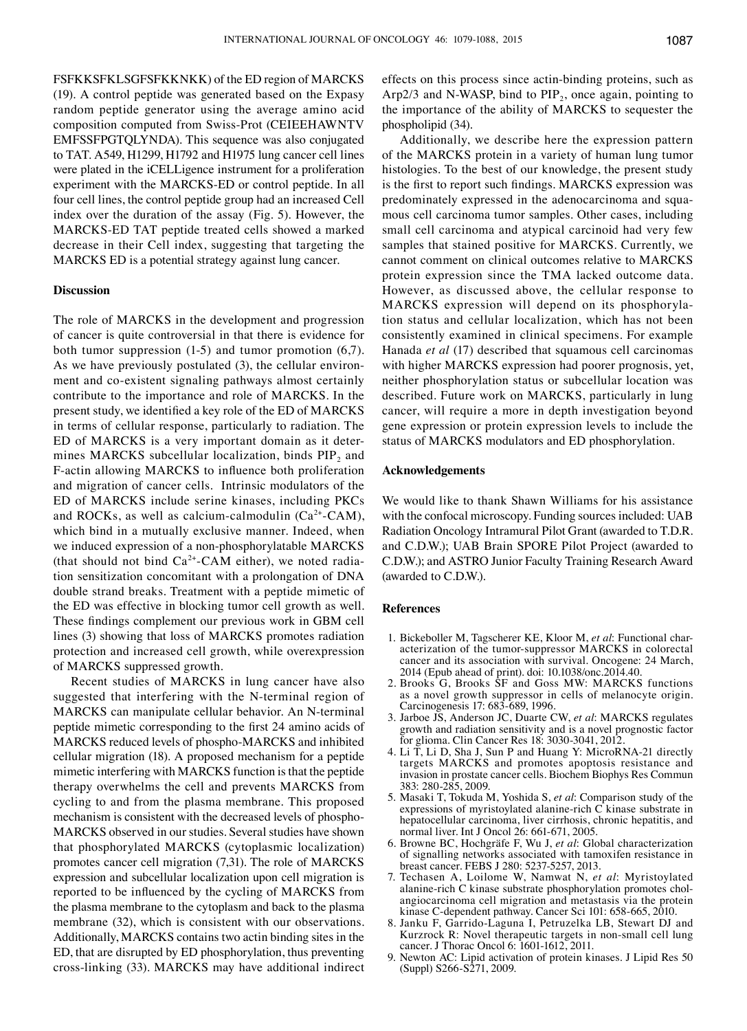FSFKKSFKLSGFSFKKNKK) of the ED region of MARCKS (19). A control peptide was generated based on the Expasy random peptide generator using the average amino acid composition computed from Swiss-Prot (CEIEEHAWNTV EMFSSFPGTQLYNDA). This sequence was also conjugated to TAT. A549, H1299, H1792 and H1975 lung cancer cell lines were plated in the iCELLigence instrument for a proliferation experiment with the MARCKS-ED or control peptide. In all four cell lines, the control peptide group had an increased Cell index over the duration of the assay (Fig. 5). However, the MARCKS-ED TAT peptide treated cells showed a marked decrease in their Cell index, suggesting that targeting the MARCKS ED is a potential strategy against lung cancer.

#### **Discussion**

The role of MARCKS in the development and progression of cancer is quite controversial in that there is evidence for both tumor suppression (1-5) and tumor promotion (6,7). As we have previously postulated (3), the cellular environment and co-existent signaling pathways almost certainly contribute to the importance and role of MARCKS. In the present study, we identified a key role of the ED of MARCKS in terms of cellular response, particularly to radiation. The ED of MARCKS is a very important domain as it determines MARCKS subcellular localization, binds  $PIP<sub>2</sub>$  and F-actin allowing MARCKS to influence both proliferation and migration of cancer cells. Intrinsic modulators of the ED of MARCKS include serine kinases, including PKCs and ROCKs, as well as calcium-calmodulin  $(Ca^{2+}-CAM)$ , which bind in a mutually exclusive manner. Indeed, when we induced expression of a non-phosphorylatable MARCKS (that should not bind  $Ca^{2+}-CAM$  either), we noted radiation sensitization concomitant with a prolongation of DNA double strand breaks. Treatment with a peptide mimetic of the ED was effective in blocking tumor cell growth as well. These findings complement our previous work in GBM cell lines (3) showing that loss of MARCKS promotes radiation protection and increased cell growth, while overexpression of MARCKS suppressed growth.

Recent studies of MARCKS in lung cancer have also suggested that interfering with the N-terminal region of MARCKS can manipulate cellular behavior. An N-terminal peptide mimetic corresponding to the first 24 amino acids of MARCKS reduced levels of phospho-MARCKS and inhibited cellular migration (18). A proposed mechanism for a peptide mimetic interfering with MARCKS function is that the peptide therapy overwhelms the cell and prevents MARCKS from cycling to and from the plasma membrane. This proposed mechanism is consistent with the decreased levels of phospho-MARCKS observed in our studies. Several studies have shown that phosphorylated MARCKS (cytoplasmic localization) promotes cancer cell migration (7,31). The role of MARCKS expression and subcellular localization upon cell migration is reported to be influenced by the cycling of MARCKS from the plasma membrane to the cytoplasm and back to the plasma membrane (32), which is consistent with our observations. Additionally, MARCKS contains two actin binding sites in the ED, that are disrupted by ED phosphorylation, thus preventing cross-linking (33). MARCKS may have additional indirect effects on this process since actin-binding proteins, such as Arp2/3 and N-WASP, bind to  $PIP<sub>2</sub>$ , once again, pointing to the importance of the ability of MARCKS to sequester the phospholipid (34).

Additionally, we describe here the expression pattern of the MARCKS protein in a variety of human lung tumor histologies. To the best of our knowledge, the present study is the first to report such findings. MARCKS expression was predominately expressed in the adenocarcinoma and squamous cell carcinoma tumor samples. Other cases, including small cell carcinoma and atypical carcinoid had very few samples that stained positive for MARCKS. Currently, we cannot comment on clinical outcomes relative to MARCKS protein expression since the TMA lacked outcome data. However, as discussed above, the cellular response to MARCKS expression will depend on its phosphorylation status and cellular localization, which has not been consistently examined in clinical specimens. For example Hanada *et al* (17) described that squamous cell carcinomas with higher MARCKS expression had poorer prognosis, yet, neither phosphorylation status or subcellular location was described. Future work on MARCKS, particularly in lung cancer, will require a more in depth investigation beyond gene expression or protein expression levels to include the status of MARCKS modulators and ED phosphorylation.

#### **Acknowledgements**

We would like to thank Shawn Williams for his assistance with the confocal microscopy. Funding sources included: UAB Radiation Oncology Intramural Pilot Grant (awarded to T.D.R. and C.D.W.); UAB Brain SPORE Pilot Project (awarded to C.D.W.); and ASTRO Junior Faculty Training Research Award (awarded to C.D.W.).

#### **References**

- 1. Bickeboller M, Tagscherer KE, Kloor M, *et al*: Functional characterization of the tumor-suppressor MARCKS in colorectal cancer and its association with survival. Oncogene: 24 March, 2014 (Epub ahead of print). doi: 10.1038/onc.2014.40.
- 2. Brooks G, Brooks SF and Goss MW: MARCKS functions as a novel growth suppressor in cells of melanocyte origin. Carcinogenesis 17: 683-689, 1996.
- 3. Jarboe JS, Anderson JC, Duarte CW, *et al*: MARCKS regulates growth and radiation sensitivity and is a novel prognostic factor for glioma. Clin Cancer Res 18: 3030-3041, 2012.
- 4. Li T, Li D, Sha J, Sun P and Huang Y: MicroRNA-21 directly targets MARCKS and promotes apoptosis resistance and invasion in prostate cancer cells. Biochem Biophys Res Commun 383: 280-285, 2009.
- 5. Masaki T, Tokuda M, Yoshida S, *et al*: Comparison study of the expressions of myristoylated alanine-rich C kinase substrate in hepatocellular carcinoma, liver cirrhosis, chronic hepatitis, and normal liver. Int J Oncol 26: 661-671, 2005.
- 6. Browne BC, Hochgräfe F, Wu J, *et al*: Global characterization of signalling networks associated with tamoxifen resistance in breast cancer. FEBS J 280: 5237-5257, 2013.
- 7. Techasen A, Loilome W, Namwat N, *et al*: Myristoylated alanine-rich C kinase substrate phosphorylation promotes cholangiocarcinoma cell migration and metastasis via the protein kinase C-dependent pathway. Cancer Sci 101: 658-665, 2010.
- 8. Janku F, Garrido-Laguna I, Petruzelka LB, Stewart DJ and Kurzrock R: Novel therapeutic targets in non-small cell lung cancer. J Thorac Oncol 6: 1601-1612, 2011.
- 9. Newton AC: Lipid activation of protein kinases. J Lipid Res 50 (Suppl) S266-S271, 2009.